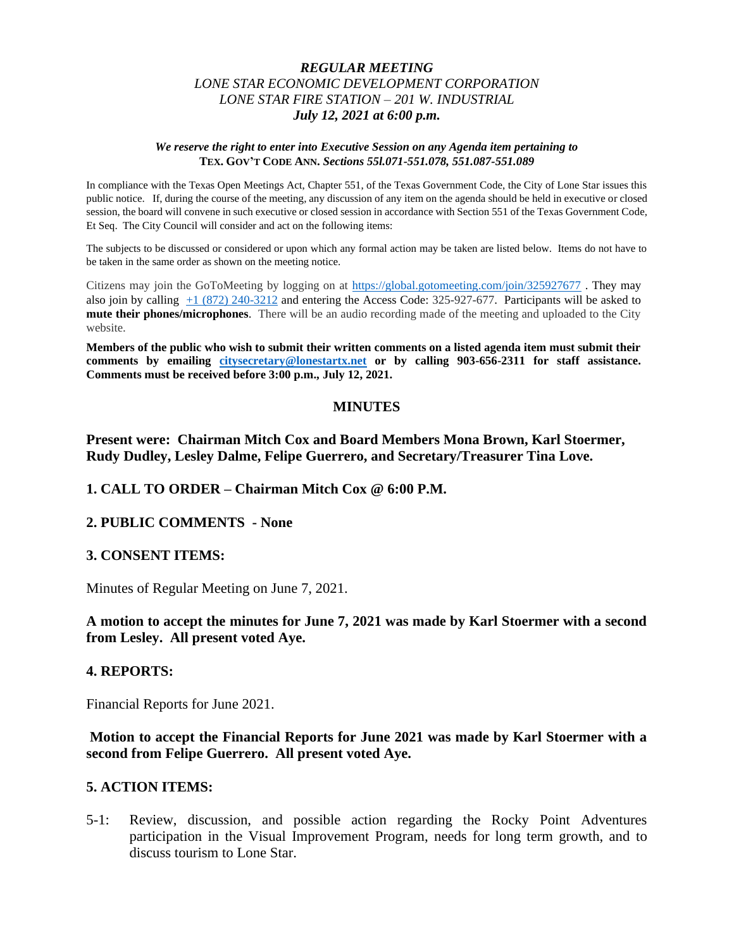## *REGULAR MEETING LONE STAR ECONOMIC DEVELOPMENT CORPORATION LONE STAR FIRE STATION – 201 W. INDUSTRIAL July 12, 2021 at 6:00 p.m.*

#### *We reserve the right to enter into Executive Session on any Agenda item pertaining to*  **TEX. GOV'T CODE ANN.** *Sections 55l.071-551.078, 551.087-551.089*

In compliance with the Texas Open Meetings Act, Chapter 551, of the Texas Government Code, the City of Lone Star issues this public notice. If, during the course of the meeting, any discussion of any item on the agenda should be held in executive or closed session, the board will convene in such executive or closed session in accordance with Section 551 of the Texas Government Code, Et Seq. The City Council will consider and act on the following items:

The subjects to be discussed or considered or upon which any formal action may be taken are listed below. Items do not have to be taken in the same order as shown on the meeting notice.

Citizens may join the GoToMeeting by logging on at <https://global.gotomeeting.com/join/325927677> . They may also join by calling [+1 \(872\) 240-3212](tel:+18722403212,,325927677) and entering the Access Code: 325-927-677. Participants will be asked to **mute their phones/microphones**. There will be an audio recording made of the meeting and uploaded to the City website.

**Members of the public who wish to submit their written comments on a listed agenda item must submit their comments by emailing [citysecretary@lonestartx.net](mailto:citysecretary@lonestartx.net) or by calling 903-656-2311 for staff assistance. Comments must be received before 3:00 p.m., July 12, 2021.**

#### **MINUTES**

**Present were: Chairman Mitch Cox and Board Members Mona Brown, Karl Stoermer, Rudy Dudley, Lesley Dalme, Felipe Guerrero, and Secretary/Treasurer Tina Love.**

**1. CALL TO ORDER – Chairman Mitch Cox @ 6:00 P.M.**

#### **2. PUBLIC COMMENTS - None**

#### **3. CONSENT ITEMS:**

Minutes of Regular Meeting on June 7, 2021.

## **A motion to accept the minutes for June 7, 2021 was made by Karl Stoermer with a second from Lesley. All present voted Aye.**

#### **4. REPORTS:**

Financial Reports for June 2021.

**Motion to accept the Financial Reports for June 2021 was made by Karl Stoermer with a second from Felipe Guerrero. All present voted Aye.**

### **5. ACTION ITEMS:**

5-1: Review, discussion, and possible action regarding the Rocky Point Adventures participation in the Visual Improvement Program, needs for long term growth, and to discuss tourism to Lone Star.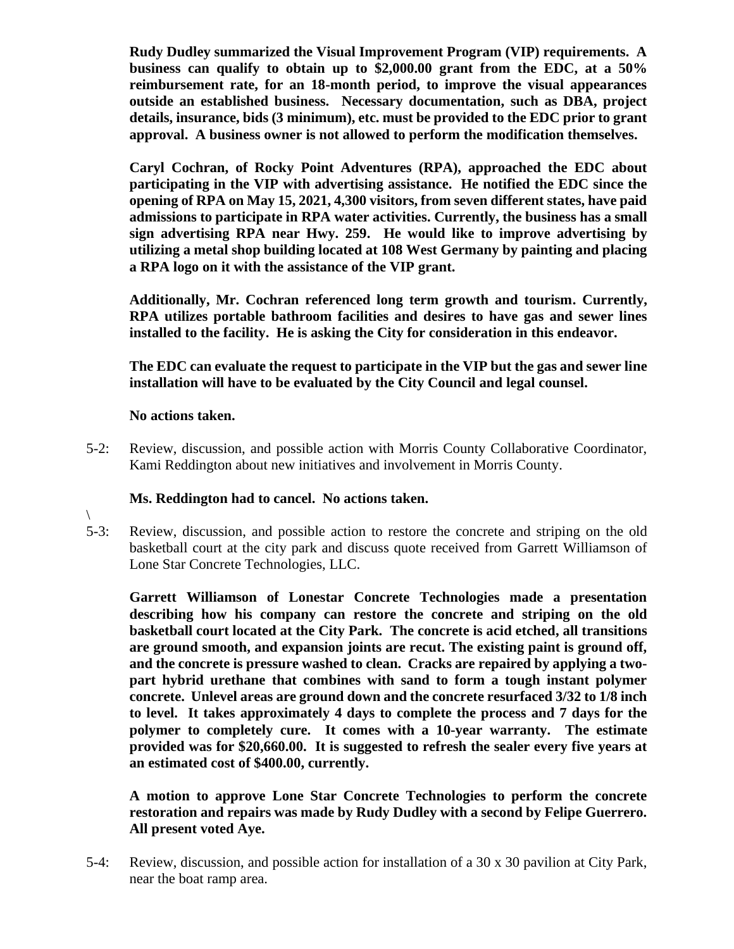**Rudy Dudley summarized the Visual Improvement Program (VIP) requirements. A business can qualify to obtain up to \$2,000.00 grant from the EDC, at a 50% reimbursement rate, for an 18-month period, to improve the visual appearances outside an established business. Necessary documentation, such as DBA, project details, insurance, bids (3 minimum), etc. must be provided to the EDC prior to grant approval. A business owner is not allowed to perform the modification themselves.**

**Caryl Cochran, of Rocky Point Adventures (RPA), approached the EDC about participating in the VIP with advertising assistance. He notified the EDC since the opening of RPA on May 15, 2021, 4,300 visitors, from seven different states, have paid admissions to participate in RPA water activities. Currently, the business has a small sign advertising RPA near Hwy. 259. He would like to improve advertising by utilizing a metal shop building located at 108 West Germany by painting and placing a RPA logo on it with the assistance of the VIP grant.** 

**Additionally, Mr. Cochran referenced long term growth and tourism. Currently, RPA utilizes portable bathroom facilities and desires to have gas and sewer lines installed to the facility. He is asking the City for consideration in this endeavor.**

**The EDC can evaluate the request to participate in the VIP but the gas and sewer line installation will have to be evaluated by the City Council and legal counsel.**

## **No actions taken.**

5-2: Review, discussion, and possible action with Morris County Collaborative Coordinator, Kami Reddington about new initiatives and involvement in Morris County.

# **Ms. Reddington had to cancel. No actions taken.**

 $\backslash$ 5-3: Review, discussion, and possible action to restore the concrete and striping on the old basketball court at the city park and discuss quote received from Garrett Williamson of Lone Star Concrete Technologies, LLC.

**Garrett Williamson of Lonestar Concrete Technologies made a presentation describing how his company can restore the concrete and striping on the old basketball court located at the City Park. The concrete is acid etched, all transitions are ground smooth, and expansion joints are recut. The existing paint is ground off, and the concrete is pressure washed to clean. Cracks are repaired by applying a twopart hybrid urethane that combines with sand to form a tough instant polymer concrete. Unlevel areas are ground down and the concrete resurfaced 3/32 to 1/8 inch to level. It takes approximately 4 days to complete the process and 7 days for the polymer to completely cure. It comes with a 10-year warranty. The estimate provided was for \$20,660.00. It is suggested to refresh the sealer every five years at an estimated cost of \$400.00, currently.**

**A motion to approve Lone Star Concrete Technologies to perform the concrete restoration and repairs was made by Rudy Dudley with a second by Felipe Guerrero. All present voted Aye.** 

5-4: Review, discussion, and possible action for installation of a 30 x 30 pavilion at City Park, near the boat ramp area.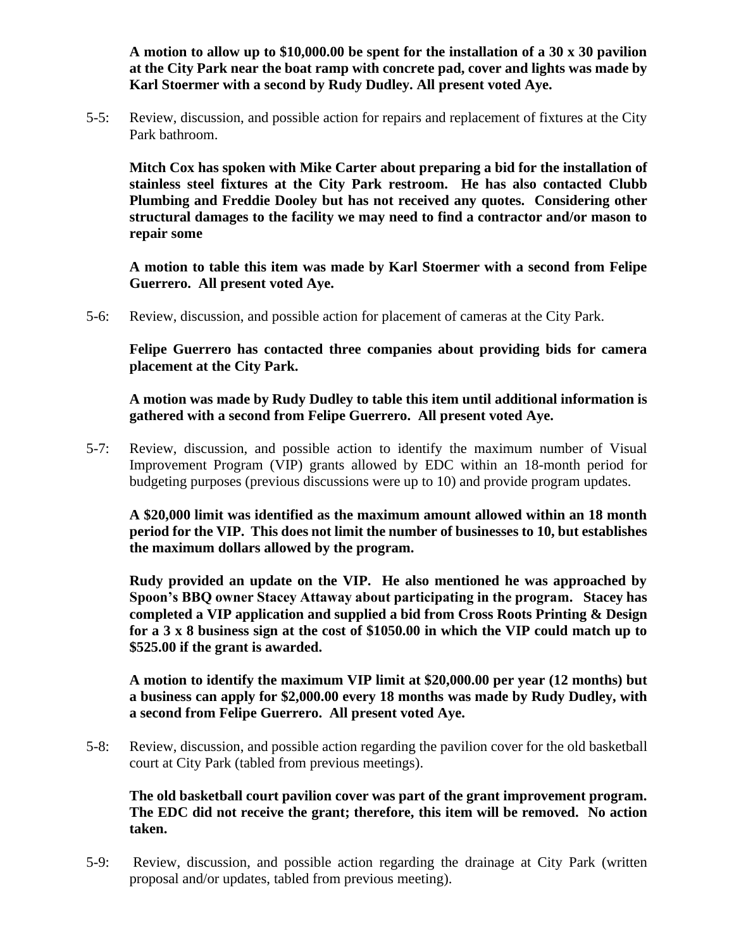**A motion to allow up to \$10,000.00 be spent for the installation of a 30 x 30 pavilion at the City Park near the boat ramp with concrete pad, cover and lights was made by Karl Stoermer with a second by Rudy Dudley. All present voted Aye.**

5-5: Review, discussion, and possible action for repairs and replacement of fixtures at the City Park bathroom.

**Mitch Cox has spoken with Mike Carter about preparing a bid for the installation of stainless steel fixtures at the City Park restroom. He has also contacted Clubb Plumbing and Freddie Dooley but has not received any quotes. Considering other structural damages to the facility we may need to find a contractor and/or mason to repair some**

**A motion to table this item was made by Karl Stoermer with a second from Felipe Guerrero. All present voted Aye.**

5-6: Review, discussion, and possible action for placement of cameras at the City Park.

**Felipe Guerrero has contacted three companies about providing bids for camera placement at the City Park.**

**A motion was made by Rudy Dudley to table this item until additional information is gathered with a second from Felipe Guerrero. All present voted Aye.**

5-7: Review, discussion, and possible action to identify the maximum number of Visual Improvement Program (VIP) grants allowed by EDC within an 18-month period for budgeting purposes (previous discussions were up to 10) and provide program updates.

**A \$20,000 limit was identified as the maximum amount allowed within an 18 month period for the VIP. This does not limit the number of businesses to 10, but establishes the maximum dollars allowed by the program.** 

**Rudy provided an update on the VIP. He also mentioned he was approached by Spoon's BBQ owner Stacey Attaway about participating in the program. Stacey has completed a VIP application and supplied a bid from Cross Roots Printing & Design for a 3 x 8 business sign at the cost of \$1050.00 in which the VIP could match up to \$525.00 if the grant is awarded.** 

**A motion to identify the maximum VIP limit at \$20,000.00 per year (12 months) but a business can apply for \$2,000.00 every 18 months was made by Rudy Dudley, with a second from Felipe Guerrero. All present voted Aye.**

5-8: Review, discussion, and possible action regarding the pavilion cover for the old basketball court at City Park (tabled from previous meetings).

**The old basketball court pavilion cover was part of the grant improvement program. The EDC did not receive the grant; therefore, this item will be removed. No action taken.**

5-9: Review, discussion, and possible action regarding the drainage at City Park (written proposal and/or updates, tabled from previous meeting).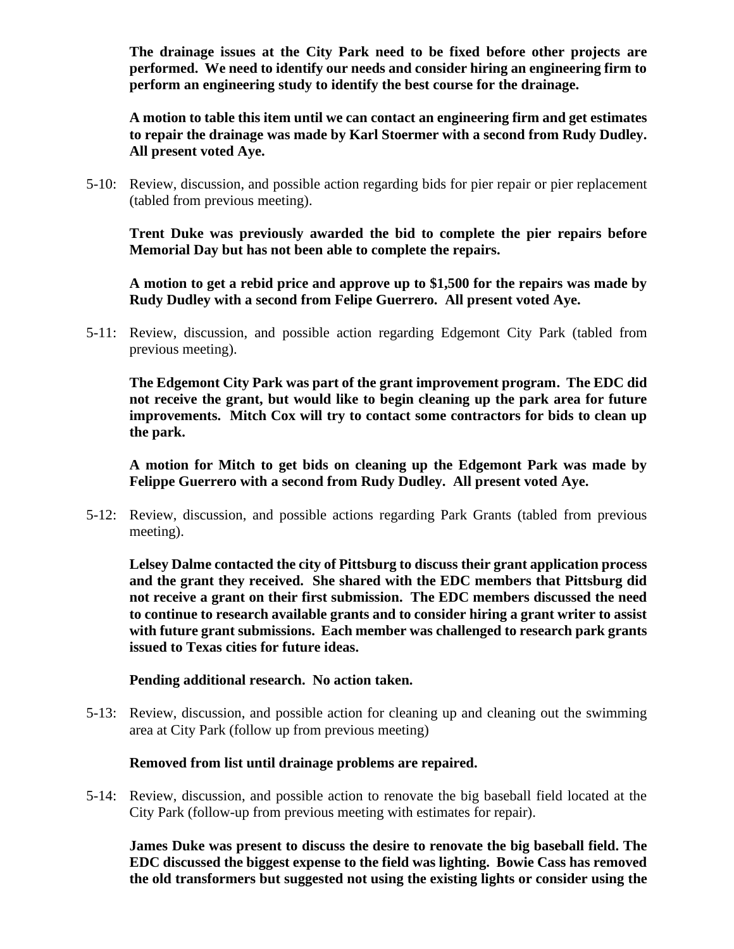**The drainage issues at the City Park need to be fixed before other projects are performed. We need to identify our needs and consider hiring an engineering firm to perform an engineering study to identify the best course for the drainage.** 

**A motion to table this item until we can contact an engineering firm and get estimates to repair the drainage was made by Karl Stoermer with a second from Rudy Dudley. All present voted Aye.** 

5-10: Review, discussion, and possible action regarding bids for pier repair or pier replacement (tabled from previous meeting).

**Trent Duke was previously awarded the bid to complete the pier repairs before Memorial Day but has not been able to complete the repairs.**

**A motion to get a rebid price and approve up to \$1,500 for the repairs was made by Rudy Dudley with a second from Felipe Guerrero. All present voted Aye.**

5-11: Review, discussion, and possible action regarding Edgemont City Park (tabled from previous meeting).

**The Edgemont City Park was part of the grant improvement program. The EDC did not receive the grant, but would like to begin cleaning up the park area for future improvements. Mitch Cox will try to contact some contractors for bids to clean up the park.**

**A motion for Mitch to get bids on cleaning up the Edgemont Park was made by Felippe Guerrero with a second from Rudy Dudley. All present voted Aye.** 

5-12: Review, discussion, and possible actions regarding Park Grants (tabled from previous meeting).

**Lelsey Dalme contacted the city of Pittsburg to discuss their grant application process and the grant they received. She shared with the EDC members that Pittsburg did not receive a grant on their first submission. The EDC members discussed the need to continue to research available grants and to consider hiring a grant writer to assist with future grant submissions. Each member was challenged to research park grants issued to Texas cities for future ideas.** 

## **Pending additional research. No action taken.**

5-13: Review, discussion, and possible action for cleaning up and cleaning out the swimming area at City Park (follow up from previous meeting)

## **Removed from list until drainage problems are repaired.**

5-14: Review, discussion, and possible action to renovate the big baseball field located at the City Park (follow-up from previous meeting with estimates for repair).

**James Duke was present to discuss the desire to renovate the big baseball field. The EDC discussed the biggest expense to the field was lighting. Bowie Cass has removed the old transformers but suggested not using the existing lights or consider using the**